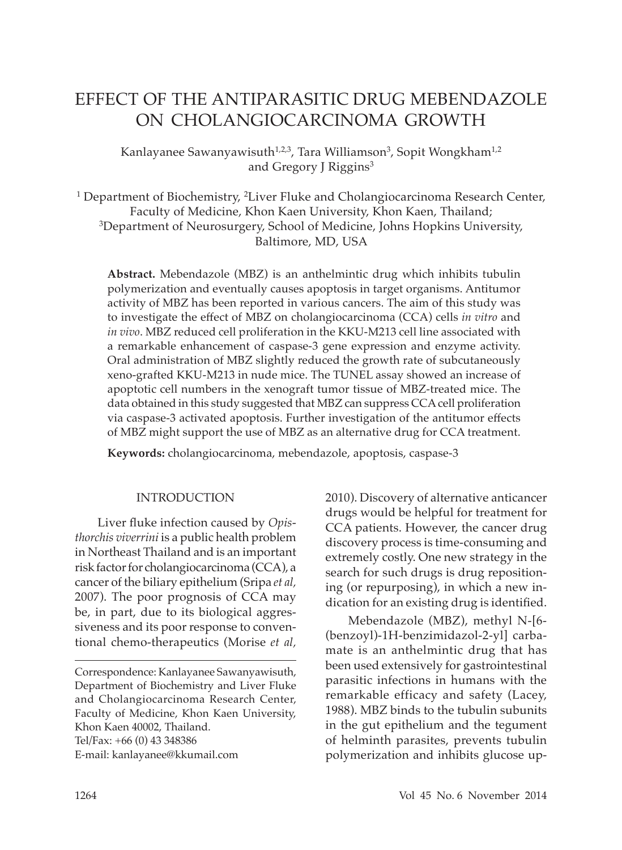# EFFECT OF THE ANTIPARASITIC DRUG MEBENDAZOLE ON CHOLANGIOCARCINOMA GROWTH

Kanlayanee Sawanyawisuth<sup>1,2,3</sup>, Tara Williamson<sup>3</sup>, Sopit Wongkham<sup>1,2</sup> and Gregory J Riggins<sup>3</sup>

<sup>1</sup> Department of Biochemistry, <sup>2</sup>Liver Fluke and Cholangiocarcinoma Research Center, Faculty of Medicine, Khon Kaen University, Khon Kaen, Thailand; 3Department of Neurosurgery, School of Medicine, Johns Hopkins University, Baltimore, MD, USA

**Abstract.** Mebendazole (MBZ) is an anthelmintic drug which inhibits tubulin polymerization and eventually causes apoptosis in target organisms. Antitumor activity of MBZ has been reported in various cancers. The aim of this study was to investigate the effect of MBZ on cholangiocarcinoma (CCA) cells *in vitro* and *in vivo*. MBZ reduced cell proliferation in the KKU-M213 cell line associated with a remarkable enhancement of caspase-3 gene expression and enzyme activity. Oral administration of MBZ slightly reduced the growth rate of subcutaneously xeno-grafted KKU-M213 in nude mice. The TUNEL assay showed an increase of apoptotic cell numbers in the xenograft tumor tissue of MBZ-treated mice. The data obtained in this study suggested that MBZ can suppress CCA cell proliferation via caspase-3 activated apoptosis. Further investigation of the antitumor effects of MBZ might support the use of MBZ as an alternative drug for CCA treatment.

**Keywords:** cholangiocarcinoma, mebendazole, apoptosis, caspase-3

#### INTRODUCTION

Liver fluke infection caused by *Opisthorchis viverrini* is a public health problem in Northeast Thailand and is an important risk factor for cholangiocarcinoma (CCA), a cancer of the biliary epithelium (Sripa *et al,* 2007). The poor prognosis of CCA may be, in part, due to its biological aggressiveness and its poor response to conventional chemo-therapeutics (Morise *et al,* 2010). Discovery of alternative anticancer drugs would be helpful for treatment for CCA patients. However, the cancer drug discovery process is time-consuming and extremely costly. One new strategy in the search for such drugs is drug repositioning (or repurposing), in which a new indication for an existing drug is identified.

Mebendazole (MBZ), methyl N-[6- (benzoyl)-1H-benzimidazol-2-yl] carbamate is an anthelmintic drug that has been used extensively for gastrointestinal parasitic infections in humans with the remarkable efficacy and safety (Lacey, 1988). MBZ binds to the tubulin subunits in the gut epithelium and the tegument of helminth parasites, prevents tubulin polymerization and inhibits glucose up-

Correspondence: Kanlayanee Sawanyawisuth, Department of Biochemistry and Liver Fluke and Cholangiocarcinoma Research Center, Faculty of Medicine, Khon Kaen University, Khon Kaen 40002, Thailand. Tel*/*Fax: +66 (0) 43 348386 E-mail: kanlayanee@kkumail.com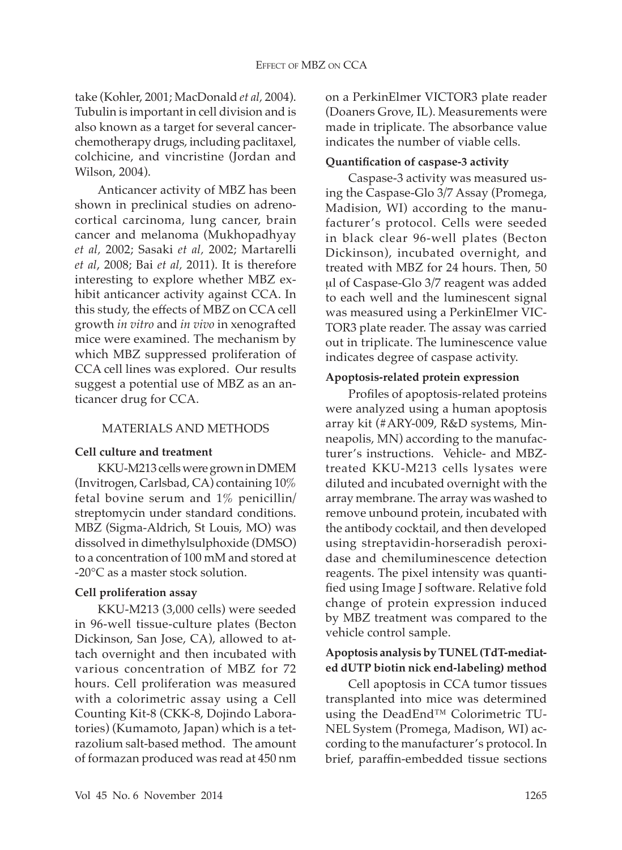take (Kohler, 2001; MacDonald *et al,* 2004). Tubulin is important in cell division and is also known as a target for several cancerchemotherapy drugs, including paclitaxel, colchicine, and vincristine (Jordan and Wilson, 2004).

Anticancer activity of MBZ has been shown in preclinical studies on adrenocortical carcinoma, lung cancer, brain cancer and melanoma (Mukhopadhyay *et al,* 2002; Sasaki *et al,* 2002; Martarelli *et al*, 2008; Bai *et al,* 2011). It is therefore interesting to explore whether MBZ exhibit anticancer activity against CCA. In this study, the effects of MBZ on CCA cell growth *in vitro* and *in vivo* in xenografted mice were examined*.* The mechanism by which MBZ suppressed proliferation of CCA cell lines was explored. Our results suggest a potential use of MBZ as an anticancer drug for CCA.

# MATERIALS AND METHODS

## **Cell culture and treatment**

KKU-M213 cells were grown in DMEM (Invitrogen, Carlsbad, CA) containing 10% fetal bovine serum and 1% penicillin*/* streptomycin under standard conditions. MBZ (Sigma-Aldrich, St Louis, MO) was dissolved in dimethylsulphoxide (DMSO) to a concentration of 100 mM and stored at -20°C as a master stock solution.

## **Cell proliferation assay**

KKU-M213 (3,000 cells) were seeded in 96-well tissue-culture plates (Becton Dickinson, San Jose, CA), allowed to attach overnight and then incubated with various concentration of MBZ for 72 hours. Cell proliferation was measured with a colorimetric assay using a Cell Counting Kit-8 (CKK-8, Dojindo Laboratories) (Kumamoto, Japan) which is a tetrazolium salt-based method. The amount of formazan produced was read at 450 nm on a PerkinElmer VICTOR3 plate reader (Doaners Grove, IL). Measurements were made in triplicate. The absorbance value indicates the number of viable cells.

# **Quantification of caspase-3 activity**

Caspase-3 activity was measured using the Caspase-Glo 3*/*7 Assay (Promega, Madision, WI) according to the manufacturer's protocol. Cells were seeded in black clear 96-well plates (Becton Dickinson), incubated overnight, and treated with MBZ for 24 hours. Then, 50 µl of Caspase-Glo 3*/*7 reagent was added to each well and the luminescent signal was measured using a PerkinElmer VIC-TOR3 plate reader. The assay was carried out in triplicate. The luminescence value indicates degree of caspase activity.

## **Apoptosis-related protein expression**

Profiles of apoptosis-related proteins were analyzed using a human apoptosis array kit (#ARY-009, R&D systems, Minneapolis, MN) according to the manufacturer's instructions. Vehicle- and MBZtreated KKU-M213 cells lysates were diluted and incubated overnight with the array membrane. The array was washed to remove unbound protein, incubated with the antibody cocktail, and then developed using streptavidin-horseradish peroxidase and chemiluminescence detection reagents. The pixel intensity was quantified using Image J software. Relative fold change of protein expression induced by MBZ treatment was compared to the vehicle control sample.

# **Apoptosis analysis by TUNEL (TdT-mediated dUTP biotin nick end-labeling) method**

Cell apoptosis in CCA tumor tissues transplanted into mice was determined using the DeadEnd™ Colorimetric TU-NEL System (Promega, Madison, WI) according to the manufacturer's protocol. In brief, paraffin-embedded tissue sections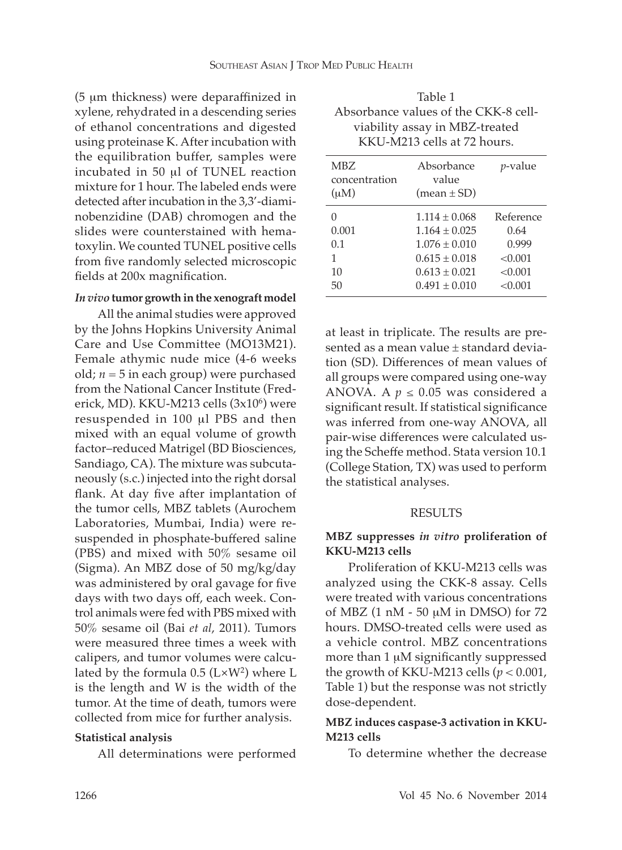(5 µm thickness) were deparaffinized in xylene, rehydrated in a descending series of ethanol concentrations and digested using proteinase K. After incubation with the equilibration buffer, samples were incubated in 50 µl of TUNEL reaction mixture for 1 hour. The labeled ends were detected after incubation in the 3,3'-diaminobenzidine (DAB) chromogen and the slides were counterstained with hematoxylin. We counted TUNEL positive cells from five randomly selected microscopic fields at 200x magnification.

#### *In vivo* **tumor growth in the xenograft model**

All the animal studies were approved by the Johns Hopkins University Animal Care and Use Committee (MO13M21). Female athymic nude mice (4-6 weeks old;  $n = 5$  in each group) were purchased from the National Cancer Institute (Frederick, MD). KKU-M213 cells (3x10<sup>6</sup>) were resuspended in 100 µl PBS and then mixed with an equal volume of growth factor–reduced Matrigel (BD Biosciences, Sandiago, CA). The mixture was subcutaneously (s.c.) injected into the right dorsal flank. At day five after implantation of the tumor cells, MBZ tablets (Aurochem Laboratories, Mumbai, India) were resuspended in phosphate-buffered saline (PBS) and mixed with 50% sesame oil (Sigma). An MBZ dose of 50 mg*/*kg*/*day was administered by oral gavage for five days with two days off, each week. Control animals were fed with PBS mixed with 50% sesame oil (Bai *et al*, 2011). Tumors were measured three times a week with calipers, and tumor volumes were calculated by the formula  $0.5$  (L $\times$ W<sup>2</sup>) where L is the length and W is the width of the tumor. At the time of death, tumors were collected from mice for further analysis.

## **Statistical analysis**

All determinations were performed

| Table 1                              |
|--------------------------------------|
| Absorbance values of the CKK-8 cell- |
| viability assay in MBZ-treated       |
| KKU-M213 cells at 72 hours.          |

| <b>MBZ</b><br>concentration<br>$(\mu M)$ | Absorbance<br>value<br>$mean \pm SD$                                                                                       | <i>v</i> -value                                             |
|------------------------------------------|----------------------------------------------------------------------------------------------------------------------------|-------------------------------------------------------------|
| 0.001<br>0.1<br>1<br>10<br>50            | $1.114 \pm 0.068$<br>$1.164 \pm 0.025$<br>$1.076 \pm 0.010$<br>$0.615 \pm 0.018$<br>$0.613 \pm 0.021$<br>$0.491 \pm 0.010$ | Reference<br>0.64<br>0.999<br>< 0.001<br>< 0.001<br>< 0.001 |

at least in triplicate. The results are presented as a mean value ± standard deviation (SD). Differences of mean values of all groups were compared using one-way ANOVA. A  $p \le 0.05$  was considered a significant result. If statistical significance was inferred from one-way ANOVA, all pair-wise differences were calculated using the Scheffe method. Stata version 10.1 (College Station, TX) was used to perform the statistical analyses.

## RESULTS

# **MBZ suppresses** *in vitro* **proliferation of KKU-M213 cells**

Proliferation of KKU-M213 cells was analyzed using the CKK-8 assay. Cells were treated with various concentrations of MBZ (1 nM - 50 µM in DMSO) for 72 hours. DMSO-treated cells were used as a vehicle control. MBZ concentrations more than 1 µM significantly suppressed the growth of KKU-M213 cells  $(p < 0.001$ , Table 1) but the response was not strictly dose-dependent.

# **MBZ induces caspase-3 activation in KKU-M213 cells**

To determine whether the decrease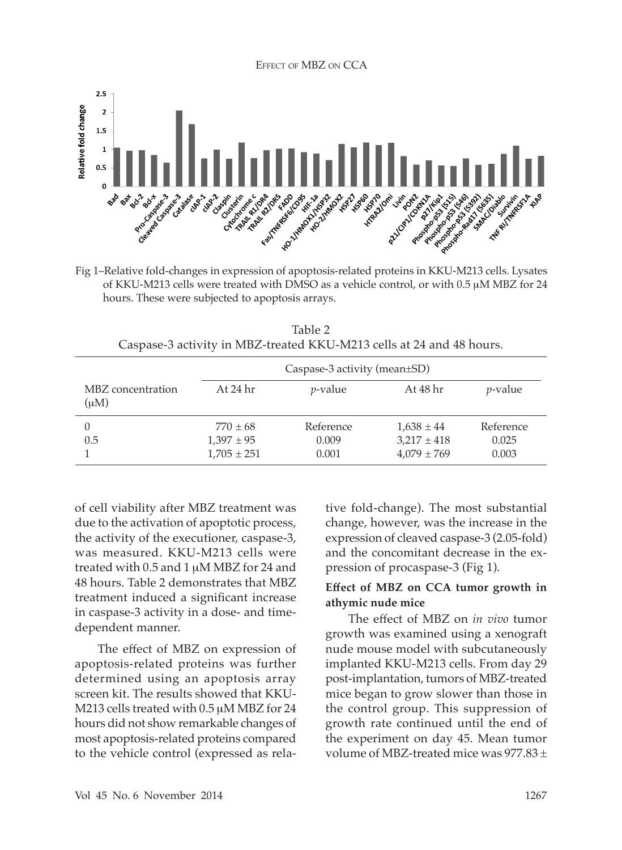

Fig 1–Relative fold-changes in expression of apoptosis-related proteins in KKU-M213 cells. Lysates of KKU-M213 cells were treated with DMSO as a vehicle control, or with 0.5 µM MBZ for 24 hours. These were subjected to apoptosis arrays.

Table 2 Caspase-3 activity in MBZ-treated KKU-M213 cells at 24 and 48 hours.

|                           | Caspase-3 activity (mean±SD) |            |                 |                 |
|---------------------------|------------------------------|------------|-----------------|-----------------|
| MBZ concentration<br>(uM) | At 24 hr                     | $p$ -value | At 48 hr        | <i>p</i> -value |
|                           | $770 \pm 68$                 | Reference  | $1,638 \pm 44$  | Reference       |
| 0.5                       | $1,397 \pm 95$               | 0.009      | $3,217 \pm 418$ | 0.025           |
|                           | $1,705 \pm 251$              | 0.001      | $4,079 \pm 769$ | 0.003           |

of cell viability after MBZ treatment was due to the activation of apoptotic process, the activity of the executioner, caspase-3, was measured. KKU-M213 cells were treated with 0.5 and 1 µM MBZ for 24 and 48 hours. Table 2 demonstrates that MBZ treatment induced a significant increase in caspase-3 activity in a dose- and timedependent manner.

The effect of MBZ on expression of apoptosis-related proteins was further determined using an apoptosis array screen kit. The results showed that KKU-M213 cells treated with 0.5  $\mu$ M MBZ for 24 hours did not show remarkable changes of most apoptosis-related proteins compared to the vehicle control (expressed as relative fold-change). The most substantial change, however, was the increase in the expression of cleaved caspase-3 (2.05-fold) and the concomitant decrease in the expression of procaspase-3 (Fig 1).

# **Effect of MBZ on CCA tumor growth in athymic nude mice**

The effect of MBZ on *in vivo* tumor growth was examined using a xenograft nude mouse model with subcutaneously implanted KKU-M213 cells. From day 29 post-implantation, tumors of MBZ-treated mice began to grow slower than those in the control group. This suppression of growth rate continued until the end of the experiment on day 45. Mean tumor volume of MBZ-treated mice was  $977.83 \pm$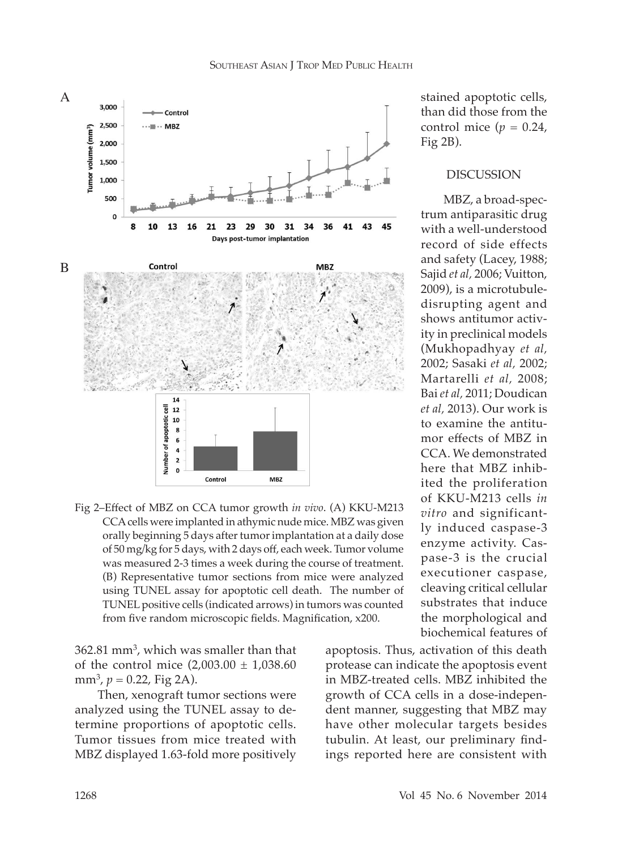

Fig 2–Effect of MBZ on CCA tumor growth *in vivo*. (A) KKU-M213 CCA cells were implanted in athymic nude mice. MBZ was given orally beginning 5 days after tumor implantation at a daily dose of 50 mg*/*kg for 5 days, with 2 days off, each week. Tumor volume was measured 2-3 times a week during the course of treatment. (B) Representative tumor sections from mice were analyzed using TUNEL assay for apoptotic cell death. The number of TUNEL positive cells (indicated arrows) in tumors was counted from five random microscopic fields. Magnification, x200.

362.81 mm3 , which was smaller than that of the control mice  $(2,003.00 \pm 1,038.60)$ mm<sup>3</sup>,  $p = 0.22$ , Fig 2A).

Then, xenograft tumor sections were analyzed using the TUNEL assay to determine proportions of apoptotic cells. Tumor tissues from mice treated with MBZ displayed 1.63-fold more positively stained apoptotic cells, than did those from the control mice  $(p = 0.24)$ . Fig 2B).

#### DISCUSSION

MBZ, a broad-spectrum antiparasitic drug with a well-understood record of side effects and safety (Lacey, 1988; Sajid *et al,* 2006; Vuitton, 2009), is a microtubuledisrupting agent and shows antitumor activity in preclinical models (Mukhopadhyay *et al,*  2002; Sasaki *et al,* 2002; Martarelli *et al,* 2008; Bai *et al,* 2011; Doudican *et al,* 2013). Our work is to examine the antitumor effects of MBZ in CCA. We demonstrated here that MBZ inhibited the proliferation of KKU-M213 cells *in vitro* and significantly induced caspase-3 enzyme activity. Caspase-3 is the crucial executioner caspase, cleaving critical cellular substrates that induce the morphological and biochemical features of

apoptosis. Thus, activation of this death protease can indicate the apoptosis event in MBZ-treated cells. MBZ inhibited the growth of CCA cells in a dose-independent manner, suggesting that MBZ may have other molecular targets besides tubulin. At least, our preliminary findings reported here are consistent with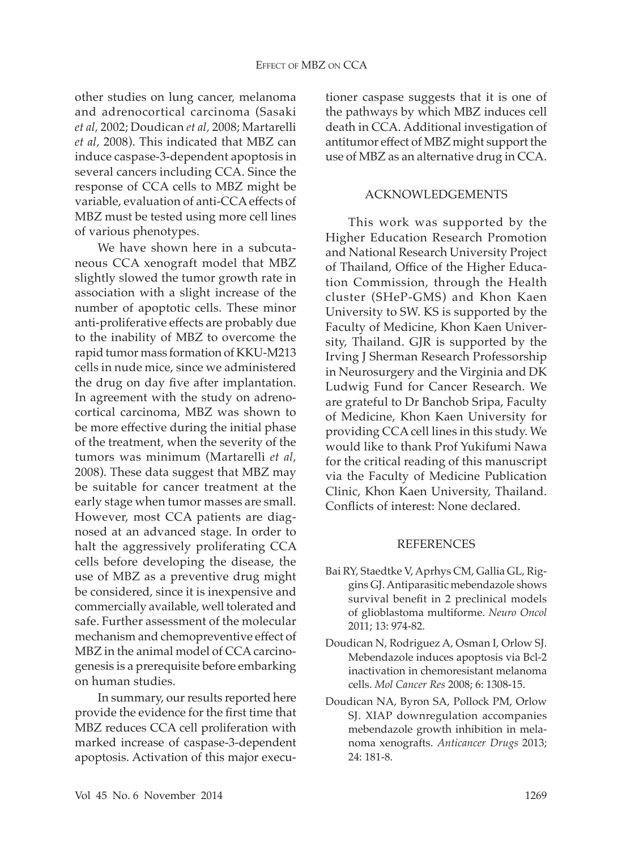other studies on lung cancer, melanoma and adrenocortical carcinoma (Sasaki *et al,* 2002; Doudican *et al,* 2008; Martarelli *et al,* 2008). This indicated that MBZ can induce caspase-3-dependent apoptosis in several cancers including CCA. Since the response of CCA cells to MBZ might be variable, evaluation of anti-CCA effects of MBZ must be tested using more cell lines of various phenotypes.

We have shown here in a subcutaneous CCA xenograft model that MBZ slightly slowed the tumor growth rate in association with a slight increase of the number of apoptotic cells. These minor anti-proliferative effects are probably due to the inability of MBZ to overcome the rapid tumor mass formation of KKU-M213 cells in nude mice, since we administered the drug on day five after implantation. In agreement with the study on adrenocortical carcinoma, MBZ was shown to be more effective during the initial phase of the treatment, when the severity of the tumors was minimum (Martarelli *et al,* 2008). These data suggest that MBZ may be suitable for cancer treatment at the early stage when tumor masses are small. However, most CCA patients are diagnosed at an advanced stage. In order to halt the aggressively proliferating CCA cells before developing the disease, the use of MBZ as a preventive drug might be considered, since it is inexpensive and commercially available, well tolerated and safe. Further assessment of the molecular mechanism and chemopreventive effect of MBZ in the animal model of CCA carcinogenesis is a prerequisite before embarking on human studies.

In summary, our results reported here provide the evidence for the first time that MBZ reduces CCA cell proliferation with marked increase of caspase-3-dependent apoptosis. Activation of this major executioner caspase suggests that it is one of the pathways by which MBZ induces cell death in CCA. Additional investigation of antitumor effect of MBZ might support the use of MBZ as an alternative drug in CCA.

#### ACKNOWLEDGEMENTS

This work was supported by the Higher Education Research Promotion and National Research University Project of Thailand, Office of the Higher Education Commission, through the Health cluster (SHeP-GMS) and Khon Kaen University to SW. KS is supported by the Faculty of Medicine, Khon Kaen University, Thailand. GJR is supported by the Irving J Sherman Research Professorship in Neurosurgery and the Virginia and DK Ludwig Fund for Cancer Research. We are grateful to Dr Banchob Sripa, Faculty of Medicine, Khon Kaen University for providing CCA cell lines in this study. We would like to thank Prof Yukifumi Nawa for the critical reading of this manuscript via the Faculty of Medicine Publication Clinic, Khon Kaen University, Thailand. Conflicts of interest: None declared.

#### **REFERENCES**

- Bai RY, Staedtke V, Aprhys CM, Gallia GL, Riggins GJ. Antiparasitic mebendazole shows survival benefit in 2 preclinical models of glioblastoma multiforme. *Neuro Oncol*  2011; 13: 974-82.
- Doudican N, Rodriguez A, Osman I, Orlow SJ. Mebendazole induces apoptosis via Bcl-2 inactivation in chemoresistant melanoma cells. *Mol Cancer Res* 2008; 6: 1308-15.
- Doudican NA, Byron SA, Pollock PM, Orlow SJ. XIAP downregulation accompanies mebendazole growth inhibition in melanoma xenografts. *Anticancer Drugs* 2013; 24: 181-8.